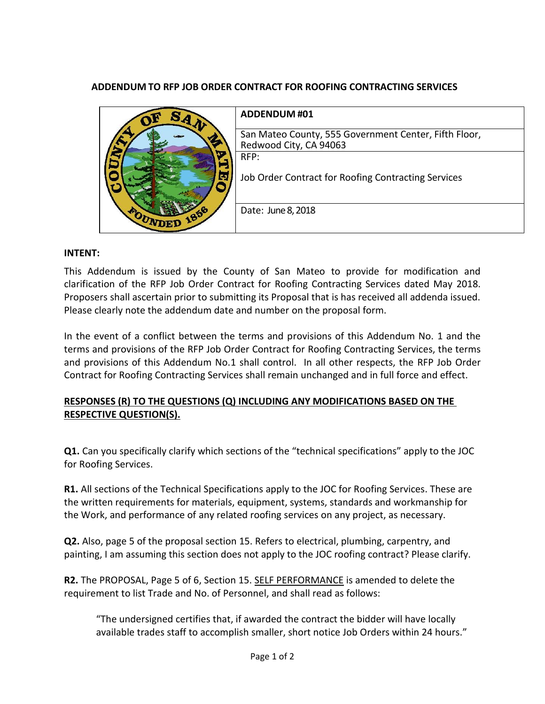## **ADDENDUM TO RFP JOB ORDER CONTRACT FOR ROOFING CONTRACTING SERVICES**



## **INTENT:**

This Addendum is issued by the County of San Mateo to provide for modification and clarification of the RFP Job Order Contract for Roofing Contracting Services dated May 2018. Proposers shall ascertain prior to submitting its Proposal that is has received all addenda issued. Please clearly note the addendum date and number on the proposal form.

In the event of a conflict between the terms and provisions of this Addendum No. 1 and the terms and provisions of the RFP Job Order Contract for Roofing Contracting Services, the terms and provisions of this Addendum No.1 shall control. In all other respects, the RFP Job Order Contract for Roofing Contracting Services shall remain unchanged and in full force and effect.

## **RESPONSES (R) TO THE QUESTIONS (Q) INCLUDING ANY MODIFICATIONS BASED ON THE RESPECTIVE QUESTION(S).**

**Q1.** Can you specifically clarify which sections of the "technical specifications" apply to the JOC for Roofing Services.

**R1.** All sections of the Technical Specifications apply to the JOC for Roofing Services. These are the written requirements for materials, equipment, systems, standards and workmanship for the Work, and performance of any related roofing services on any project, as necessary.

**Q2.** Also, page 5 of the proposal section 15. Refers to electrical, plumbing, carpentry, and painting, I am assuming this section does not apply to the JOC roofing contract? Please clarify.

**R2.** The PROPOSAL, Page 5 of 6, Section 15. SELF PERFORMANCE is amended to delete the requirement to list Trade and No. of Personnel, and shall read as follows:

"The undersigned certifies that, if awarded the contract the bidder will have locally available trades staff to accomplish smaller, short notice Job Orders within 24 hours."